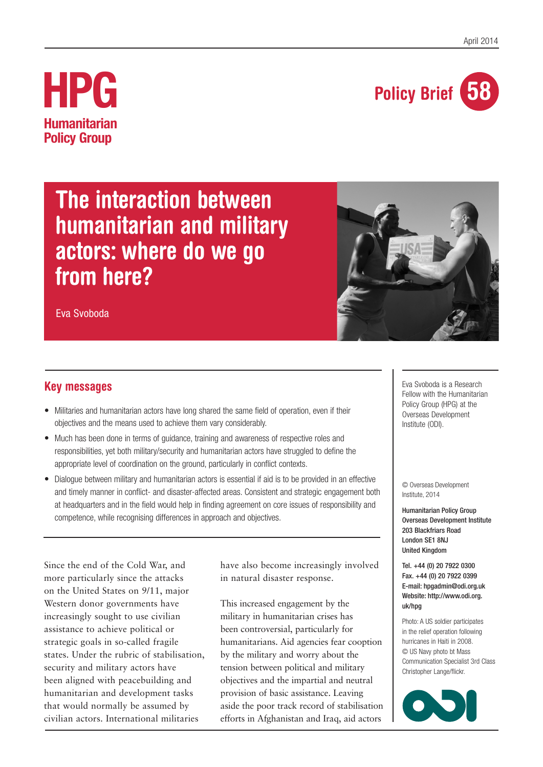

## **HPG Humanitarian Policy Group**

# **The interaction between humanitarian and military actors: where do we go from here?**



Eva Svoboda

### **Key messages**

- Militaries and humanitarian actors have long shared the same field of operation, even if their objectives and the means used to achieve them vary considerably.
- Much has been done in terms of quidance, training and awareness of respective roles and responsibilities, yet both military/security and humanitarian actors have struggled to define the appropriate level of coordination on the ground, particularly in conflict contexts.
- Dialogue between military and humanitarian actors is essential if aid is to be provided in an effective and timely manner in conflict- and disaster-affected areas. Consistent and strategic engagement both at headquarters and in the field would help in finding agreement on core issues of responsibility and competence, while recognising differences in approach and objectives.

Since the end of the Cold War, and more particularly since the attacks on the United States on 9/11, major Western donor governments have increasingly sought to use civilian assistance to achieve political or strategic goals in so-called fragile states. Under the rubric of stabilisation, security and military actors have been aligned with peacebuilding and humanitarian and development tasks that would normally be assumed by civilian actors. International militaries

have also become increasingly involved in natural disaster response.

This increased engagement by the military in humanitarian crises has been controversial, particularly for humanitarians. Aid agencies fear cooption by the military and worry about the tension between political and military objectives and the impartial and neutral provision of basic assistance. Leaving aside the poor track record of stabilisation efforts in Afghanistan and Iraq, aid actors

Eva Svoboda is a Research Fellow with the Humanitarian Policy Group (HPG) at the Overseas Development Institute (ODI).

© Overseas Development Institute, 2014

Humanitarian Policy Group Overseas Development Institute 203 Blackfriars Road London SE1 8NJ United Kingdom

Tel. +44 (0) 20 7922 0300 Fax. +44 (0) 20 7922 0399 E-mail: hpgadmin@odi.org.uk Website: http://www.odi.org. uk/hpg

Photo: A US soldier participates in the relief operation following hurricanes in Haiti in 2008. © US Navy photo bt Mass Communication Specialist 3rd Class Christopher Lange/flickr.

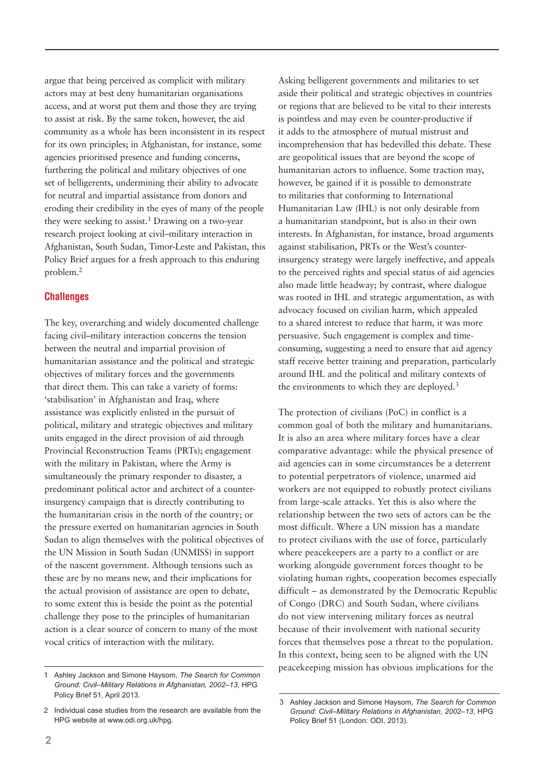argue that being perceived as complicit with military actors may at best deny humanitarian organisations access, and at worst put them and those they are trying to assist at risk. By the same token, however, the aid community as a whole has been inconsistent in its respect for its own principles; in Afghanistan, for instance, some agencies prioritised presence and funding concerns, furthering the political and military objectives of one set of belligerents, undermining their ability to advocate for neutral and impartial assistance from donors and eroding their credibility in the eyes of many of the people they were seeking to assist.<sup>1</sup> Drawing on a two-year research project looking at civil–military interaction in Afghanistan, South Sudan, Timor-Leste and Pakistan, this Policy Brief argues for a fresh approach to this enduring problem.2

#### **Challenges**

The key, overarching and widely documented challenge facing civil–military interaction concerns the tension between the neutral and impartial provision of humanitarian assistance and the political and strategic objectives of military forces and the governments that direct them. This can take a variety of forms: 'stabilisation' in Afghanistan and Iraq, where assistance was explicitly enlisted in the pursuit of political, military and strategic objectives and military units engaged in the direct provision of aid through Provincial Reconstruction Teams (PRTs); engagement with the military in Pakistan, where the Army is simultaneously the primary responder to disaster, a predominant political actor and architect of a counterinsurgency campaign that is directly contributing to the humanitarian crisis in the north of the country; or the pressure exerted on humanitarian agencies in South Sudan to align themselves with the political objectives of the UN Mission in South Sudan (UNMISS) in support of the nascent government. Although tensions such as these are by no means new, and their implications for the actual provision of assistance are open to debate, to some extent this is beside the point as the potential challenge they pose to the principles of humanitarian action is a clear source of concern to many of the most vocal critics of interaction with the military.

Asking belligerent governments and militaries to set aside their political and strategic objectives in countries or regions that are believed to be vital to their interests is pointless and may even be counter-productive if it adds to the atmosphere of mutual mistrust and incomprehension that has bedevilled this debate. These are geopolitical issues that are beyond the scope of humanitarian actors to influence. Some traction may, however, be gained if it is possible to demonstrate to militaries that conforming to International Humanitarian Law (IHL) is not only desirable from a humanitarian standpoint, but is also in their own interests. In Afghanistan, for instance, broad arguments against stabilisation, PRTs or the West's counterinsurgency strategy were largely ineffective, and appeals to the perceived rights and special status of aid agencies also made little headway; by contrast, where dialogue was rooted in IHL and strategic argumentation, as with advocacy focused on civilian harm, which appealed to a shared interest to reduce that harm, it was more persuasive. Such engagement is complex and timeconsuming, suggesting a need to ensure that aid agency staff receive better training and preparation, particularly around IHL and the political and military contexts of the environments to which they are deployed.<sup>3</sup>

The protection of civilians (PoC) in conflict is a common goal of both the military and humanitarians. It is also an area where military forces have a clear comparative advantage: while the physical presence of aid agencies can in some circumstances be a deterrent to potential perpetrators of violence, unarmed aid workers are not equipped to robustly protect civilians from large-scale attacks. Yet this is also where the relationship between the two sets of actors can be the most difficult. Where a UN mission has a mandate to protect civilians with the use of force, particularly where peacekeepers are a party to a conflict or are working alongside government forces thought to be violating human rights, cooperation becomes especially difficult – as demonstrated by the Democratic Republic of Congo (DRC) and South Sudan, where civilians do not view intervening military forces as neutral because of their involvement with national security forces that themselves pose a threat to the population. In this context, being seen to be aligned with the UN peacekeeping mission has obvious implications for the 1 Ashley Jackson and Simone Haysom, *The Search for Common* 

*Ground: Civil–Military Relations in Afghanistan, 2002–13*, HPG Policy Brief 51, April 2013.

<sup>2</sup> Individual case studies from the research are available from the HPG website at www.odi.org.uk/hpg.

<sup>3</sup> Ashley Jackson and Simone Haysom, *The Search for Common Ground: Civil–Military Relations in Afghanistan, 2002–13*, HPG Policy Brief 51 (London: ODI, 2013).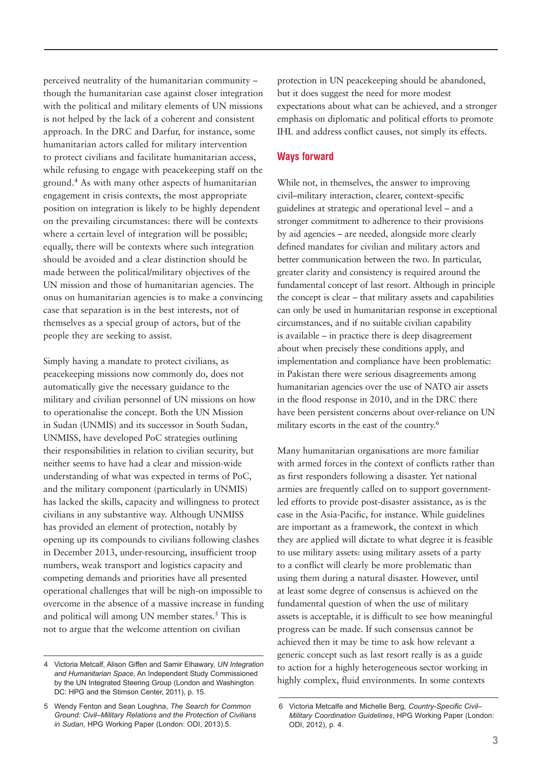perceived neutrality of the humanitarian community – though the humanitarian case against closer integration with the political and military elements of UN missions is not helped by the lack of a coherent and consistent approach. In the DRC and Darfur, for instance, some humanitarian actors called for military intervention to protect civilians and facilitate humanitarian access, while refusing to engage with peacekeeping staff on the ground.4 As with many other aspects of humanitarian engagement in crisis contexts, the most appropriate position on integration is likely to be highly dependent on the prevailing circumstances: there will be contexts where a certain level of integration will be possible; equally, there will be contexts where such integration should be avoided and a clear distinction should be made between the political/military objectives of the UN mission and those of humanitarian agencies. The onus on humanitarian agencies is to make a convincing case that separation is in the best interests, not of themselves as a special group of actors, but of the people they are seeking to assist.

Simply having a mandate to protect civilians, as peacekeeping missions now commonly do, does not automatically give the necessary guidance to the military and civilian personnel of UN missions on how to operationalise the concept. Both the UN Mission in Sudan (UNMIS) and its successor in South Sudan, UNMISS, have developed PoC strategies outlining their responsibilities in relation to civilian security, but neither seems to have had a clear and mission-wide understanding of what was expected in terms of PoC, and the military component (particularly in UNMIS) has lacked the skills, capacity and willingness to protect civilians in any substantive way. Although UNMISS has provided an element of protection, notably by opening up its compounds to civilians following clashes in December 2013, under-resourcing, insufficient troop numbers, weak transport and logistics capacity and competing demands and priorities have all presented operational challenges that will be nigh-on impossible to overcome in the absence of a massive increase in funding and political will among UN member states.<sup>5</sup> This is not to argue that the welcome attention on civilian

4 Victoria Metcalf, Alison Giffen and Samir Elhawary, *UN Integration and Humanitarian Space*, An Independent Study Commissioned by the UN Integrated Steering Group (London and Washington DC: HPG and the Stimson Center, 2011), p. 15.

5 Wendy Fenton and Sean Loughna, *The Search for Common Ground: Civil–Military Relations and the Protection of Civilians in Sudan*, HPG Working Paper (London: ODI, 2013).5.

protection in UN peacekeeping should be abandoned, but it does suggest the need for more modest expectations about what can be achieved, and a stronger emphasis on diplomatic and political efforts to promote IHL and address conflict causes, not simply its effects.

#### **Ways forward**

While not, in themselves, the answer to improving civil–military interaction, clearer, context-specific guidelines at strategic and operational level – and a stronger commitment to adherence to their provisions by aid agencies – are needed, alongside more clearly defined mandates for civilian and military actors and better communication between the two. In particular, greater clarity and consistency is required around the fundamental concept of last resort. Although in principle the concept is clear – that military assets and capabilities can only be used in humanitarian response in exceptional circumstances, and if no suitable civilian capability is available – in practice there is deep disagreement about when precisely these conditions apply, and implementation and compliance have been problematic: in Pakistan there were serious disagreements among humanitarian agencies over the use of NATO air assets in the flood response in 2010, and in the DRC there have been persistent concerns about over-reliance on UN military escorts in the east of the country.6

Many humanitarian organisations are more familiar with armed forces in the context of conflicts rather than as first responders following a disaster. Yet national armies are frequently called on to support governmentled efforts to provide post-disaster assistance, as is the case in the Asia-Pacific, for instance. While guidelines are important as a framework, the context in which they are applied will dictate to what degree it is feasible to use military assets: using military assets of a party to a conflict will clearly be more problematic than using them during a natural disaster. However, until at least some degree of consensus is achieved on the fundamental question of when the use of military assets is acceptable, it is difficult to see how meaningful progress can be made. If such consensus cannot be achieved then it may be time to ask how relevant a generic concept such as last resort really is as a guide to action for a highly heterogeneous sector working in highly complex, fluid environments. In some contexts

<sup>6</sup> Victoria Metcalfe and Michelle Berg, *Country-Specific Civil– Military Coordination Guidelines*, HPG Working Paper (London: ODI, 2012), p. 4.